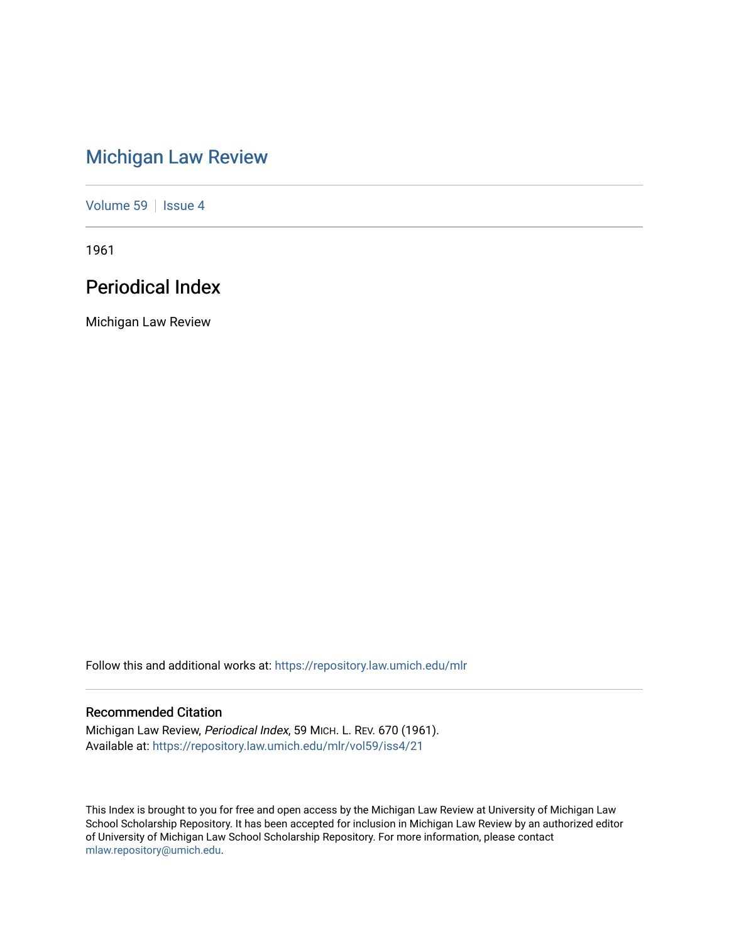# [Michigan Law Review](https://repository.law.umich.edu/mlr)

[Volume 59](https://repository.law.umich.edu/mlr/vol59) | [Issue 4](https://repository.law.umich.edu/mlr/vol59/iss4)

1961

# Periodical Index

Michigan Law Review

Follow this and additional works at: [https://repository.law.umich.edu/mlr](https://repository.law.umich.edu/mlr?utm_source=repository.law.umich.edu%2Fmlr%2Fvol59%2Fiss4%2F21&utm_medium=PDF&utm_campaign=PDFCoverPages) 

# Recommended Citation

Michigan Law Review, Periodical Index, 59 MICH. L. REV. 670 (1961). Available at: [https://repository.law.umich.edu/mlr/vol59/iss4/21](https://repository.law.umich.edu/mlr/vol59/iss4/21?utm_source=repository.law.umich.edu%2Fmlr%2Fvol59%2Fiss4%2F21&utm_medium=PDF&utm_campaign=PDFCoverPages) 

This Index is brought to you for free and open access by the Michigan Law Review at University of Michigan Law School Scholarship Repository. It has been accepted for inclusion in Michigan Law Review by an authorized editor of University of Michigan Law School Scholarship Repository. For more information, please contact [mlaw.repository@umich.edu.](mailto:mlaw.repository@umich.edu)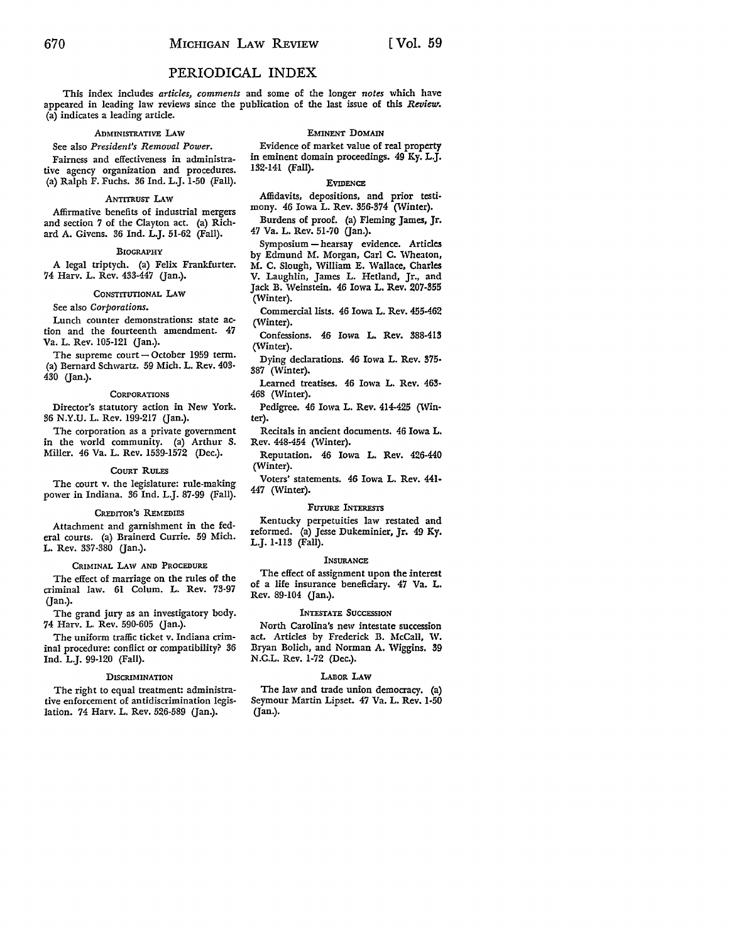# PERIODICAL INDEX

This index includes *articles, comments* and some of the longer *notes* which have appeared in leading law reviews since the publication of the last issue of this *Review.*  (a) indicates a leading article.

#### ADMINISTRATIVE LAW

# See also *President's Removal Power.*

Fairness and effectiveness in administrative agency organization and procedures. (a) Ralph F. Fuchs. 36 Ind. L.J. 1-50 (Fall).

#### ANTITRUST LAW

Affirmative benefits of industrial mergers and section 7 of the Clayton act. (a) Richard A. Givens. 36 Ind. L.J. 51-62 (Fall).

#### BIOGRAPHY

A legal triptych. (a) Felix Frankfurter. 74 Harv. L. Rev. 433-447 (Jan.).

#### CONSTITUTIONAL LAW

See also *Corporations.* 

Lunch counter demonstrations: state action and the fourteenth amendment. 47 Va. L. Rev. 105-121 (Jan.).

The supreme  $count - October$  1959 term. (a) Bernard Schwartz. 59 Mich. L. Rev. 403- 430 (Jan.).

# **CORPORATIONS**

Director's statutory action in New York. 36 N.Y.U. L. Rev. 199-217 Gan.).

The corporation as a private government in the world community. (a) Arthur S. Miller. 46 Va. L. Rev. 1539-1572 (Dec.).

## COURT RULES

The court v. the legislature: rule-making power in Indiana. 36 Ind. L.J. 87-99 (Fall).

#### CREDITOR'S REMEDIES

Attachment and garnishment in the federal courts. (a) Brainerd Currie. 59 Mich. L. Rev. 337-380 (Jan.).

#### CRIMINAL LAW AND PROCEDURE

The effect of marriage on the rules of the criminal law. 61 Colum. L. Rev. 73-97 Gan.).

The grand jury as an investigatory body. 74 Harv. L. Rev. 590-605 (Jan.).

The uniform traffic ticket v. Indiana criminal procedure: conflict or compatibility? 36 Ind. L.J. 99-120 (Fall).

#### **DISCRIMINATION**

The right to equal treatment: administrative enforcement of antidiscrimination legislation. 74 Harv. L. Rev. 526-589 (Jan.).

## EMINENT DOMAIN

Evidence of market value of real property in eminent domain proceedings. 49 Ky. L.J. 132-141 (Fall).

#### **EVIDENCE**

Affidavits, depositions, and prior testi• mony. 46 Iowa L. Rev. 356-374 (Winter).

Burdens of proof. (a) Fleming James, Jr. 47 Va. L. Rev. 51-70 (Jan.).

Symposium - hearsay evidence. Articles by Edmund M. Morgan, Carl C. Wheaton, M. C. Slough, William E. Wallace, Charles V. Laughlin, James L. Hetland, Jr., and Jack B. Weinstein. 46 Iowa L. Rev. 207-355 (Winter).

Commercial lists. 46 Iowa L. Rev. 455-462 (Winter).

Confessions. 46 Iowa L. Rev. 388-413 (Winter).

Dying declarations. 46 Iowa L. Rev. 375-387 (Winter).

Learned treatises. 46 Iowa L. Rev. 463- 468 (Winter).

Pedigree. 46 Iowa L. Rev. 414-425 (Winter).

Recitals in ancient documents. 46 Iowa L. Rev. 448-454 (Winter).

Reputation. 46 Iowa L. Rev. 426-440 (Winter).

Voters' statements. 46 Iowa L. Rev. 441- 447 (Winter).

#### FUTURE INTERESTS

Kentucky perpetuities law restated and reformed. (a) Jesse Dukeminier, Jr. 49 Ky. L.J. 1-113 (Fall).

#### **INSURANCE**

The effect of assignment upon the interest of a life insurance beneficiary. 47 Va. L. Rev. 89-104 (Jan.).

# INTESTATE SUCCESSION

North Carolina's new intestate succession act. Articles by Frederick B. McCall, W. Bryan Bolich, and Norman A. Wiggins. 39 N.C.L. Rev. 1-72 (Dec.).

# LABOR LAW

The law and trade union democracy. (a) Seymour Martin Lipset. 47 Va. L. Rev. 1-50 Gan.).